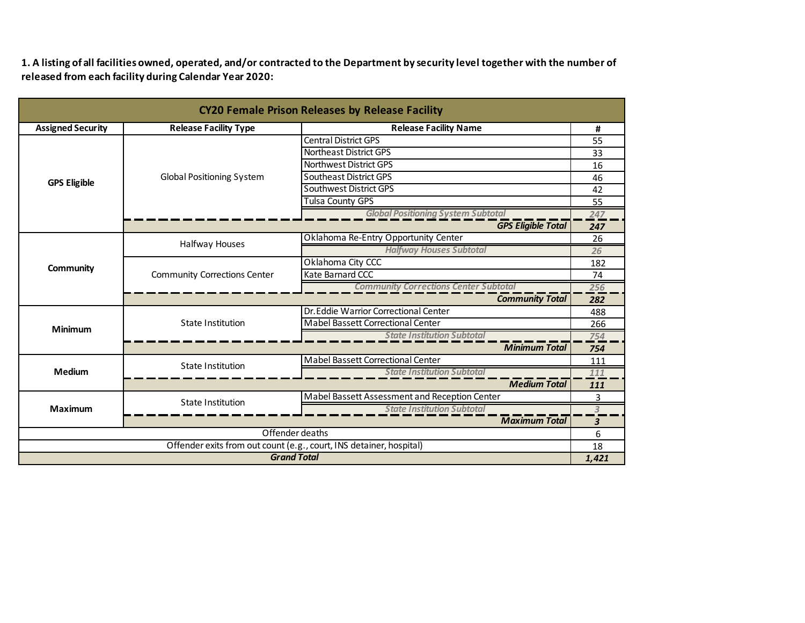**1. A listing of all facilities owned, operated, and/or contracted to the Department by security level together with the number of released from each facility during Calendar Year 2020:**

| <b>CY20 Female Prison Releases by Release Facility</b>              |                                     |                                               |       |
|---------------------------------------------------------------------|-------------------------------------|-----------------------------------------------|-------|
| <b>Assigned Security</b>                                            | <b>Release Facility Type</b>        | <b>Release Facility Name</b>                  | #     |
| <b>GPS Eligible</b>                                                 |                                     | <b>Central District GPS</b>                   | 55    |
|                                                                     |                                     | Northeast District GPS                        | 33    |
|                                                                     | <b>Global Positioning System</b>    | Northwest District GPS                        | 16    |
|                                                                     |                                     | Southeast District GPS                        | 46    |
|                                                                     |                                     | Southwest District GPS                        | 42    |
|                                                                     |                                     | <b>Tulsa County GPS</b>                       | 55    |
|                                                                     |                                     | <b>Global Positioning System Subtotal</b>     | 247   |
|                                                                     |                                     | <b>GPS Eligible Total</b>                     | 247   |
|                                                                     | Halfway Houses                      | Oklahoma Re-Entry Opportunity Center          | 26    |
|                                                                     |                                     | <b>Halfway Houses Subtotal</b>                | 26    |
| Community                                                           | <b>Community Corrections Center</b> | Oklahoma City CCC                             | 182   |
|                                                                     |                                     | Kate Barnard CCC                              | 74    |
|                                                                     |                                     | <b>Community Corrections Center Subtotal</b>  | 256   |
|                                                                     |                                     | <b>Community Total</b>                        | 282   |
|                                                                     |                                     | Dr. Eddie Warrior Correctional Center         | 488   |
| <b>Minimum</b>                                                      | <b>State Institution</b>            | Mabel Bassett Correctional Center             | 266   |
|                                                                     |                                     | <b>State Institution Subtotal</b>             | 754   |
|                                                                     |                                     | <b>Minimum Total</b>                          | 754   |
|                                                                     | <b>State Institution</b>            | Mabel Bassett Correctional Center             | 111   |
| <b>Medium</b>                                                       |                                     | <b>State Institution Subtotal</b>             | 111   |
|                                                                     | <b>Medium Total</b>                 |                                               | 111   |
|                                                                     | State Institution                   | Mabel Bassett Assessment and Reception Center | 3     |
| <b>Maximum</b>                                                      |                                     | <b>State Institution Subtotal</b>             | 3     |
|                                                                     |                                     | <b>Maximum Total</b>                          | 3     |
| Offender deaths                                                     |                                     |                                               | 6     |
| Offender exits from out count (e.g., court, INS detainer, hospital) |                                     |                                               | 18    |
| <b>Grand Total</b>                                                  |                                     |                                               | 1,421 |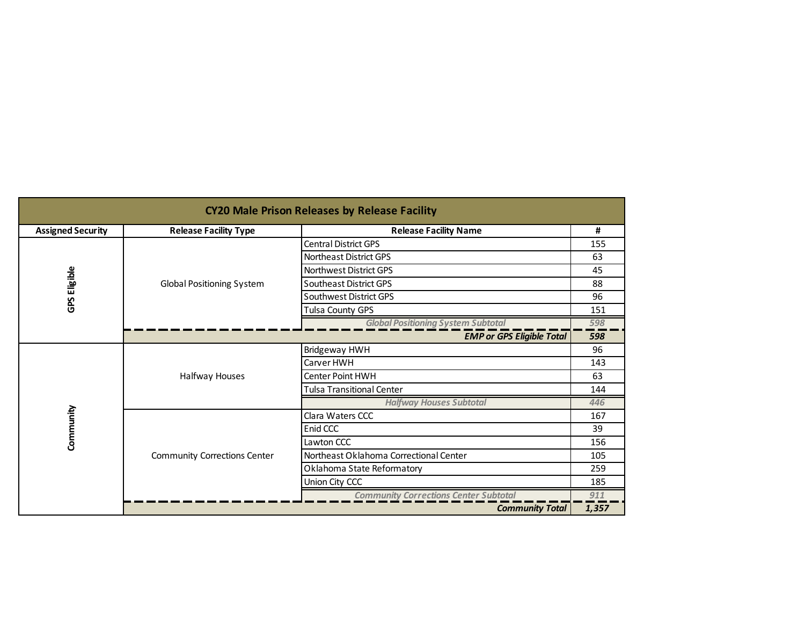| <b>CY20 Male Prison Releases by Release Facility</b> |                                     |                                              |       |
|------------------------------------------------------|-------------------------------------|----------------------------------------------|-------|
| <b>Assigned Security</b>                             | <b>Release Facility Type</b>        | <b>Release Facility Name</b>                 | #     |
|                                                      |                                     | <b>Central District GPS</b>                  | 155   |
|                                                      | <b>Global Positioning System</b>    | <b>Northeast District GPS</b>                | 63    |
|                                                      |                                     | <b>Northwest District GPS</b>                | 45    |
| GPS Eligible                                         |                                     | Southeast District GPS                       | 88    |
|                                                      |                                     | Southwest District GPS                       | 96    |
|                                                      |                                     | Tulsa County GPS                             | 151   |
|                                                      |                                     | <b>Global Positioning System Subtotal</b>    | 598   |
|                                                      | <b>EMP or GPS Eligible Total</b>    |                                              |       |
|                                                      | Halfway Houses                      | Bridgeway HWH                                | 96    |
|                                                      |                                     | Carver HWH                                   | 143   |
|                                                      |                                     | <b>Center Point HWH</b>                      | 63    |
|                                                      |                                     | <b>Tulsa Transitional Center</b>             | 144   |
|                                                      |                                     | <b>Halfway Houses Subtotal</b>               | 446   |
|                                                      | <b>Community Corrections Center</b> | Clara Waters CCC                             | 167   |
|                                                      |                                     | Enid CCC                                     | 39    |
| Community                                            |                                     | Lawton CCC                                   | 156   |
|                                                      |                                     | Northeast Oklahoma Correctional Center       | 105   |
|                                                      |                                     | Oklahoma State Reformatory                   | 259   |
|                                                      |                                     | Union City CCC                               | 185   |
|                                                      |                                     | <b>Community Corrections Center Subtotal</b> | 911   |
|                                                      |                                     | <b>Community Total</b>                       | 1,357 |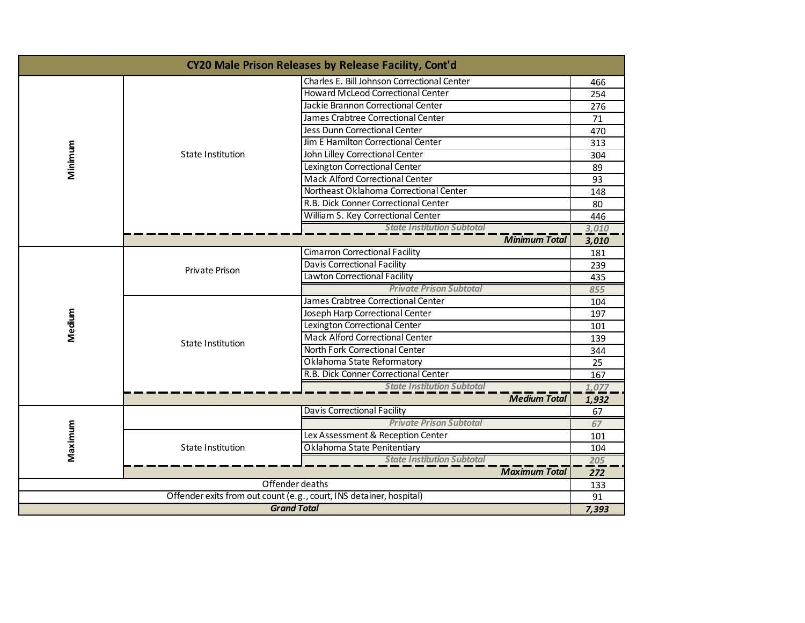| CY20 Male Prison Releases by Release Facility, Cont'd               |                                   |                                             |       |
|---------------------------------------------------------------------|-----------------------------------|---------------------------------------------|-------|
|                                                                     | State Institution                 | Charles E. Bill Johnson Correctional Center | 466   |
|                                                                     |                                   | <b>Howard McLeod Correctional Center</b>    | 254   |
|                                                                     |                                   | Jackie Brannon Correctional Center          | 276   |
|                                                                     |                                   | James Crabtree Correctional Center          | 71    |
|                                                                     |                                   | Jess Dunn Correctional Center               | 470   |
|                                                                     |                                   | Jim E Hamilton Correctional Center          | 313   |
| Minimum                                                             |                                   | John Lilley Correctional Center             | 304   |
|                                                                     |                                   | Lexington Correctional Center               | 89    |
|                                                                     |                                   | <b>Mack Alford Correctional Center</b>      | 93    |
|                                                                     |                                   | Northeast Oklahoma Correctional Center      | 148   |
|                                                                     |                                   | R.B. Dick Conner Correctional Center        | 80    |
|                                                                     |                                   | William S. Key Correctional Center          | 446   |
|                                                                     |                                   | <b>State Institution Subtotal</b>           | 3,010 |
|                                                                     |                                   | <b>Minimum Total</b>                        | 3,010 |
|                                                                     | Private Prison                    | <b>Cimarron Correctional Facility</b>       | 181   |
|                                                                     |                                   | Davis Correctional Facility                 | 239   |
|                                                                     |                                   | Lawton Correctional Facility                | 435   |
|                                                                     |                                   | <b>Private Prison Subtotal</b>              | 855   |
|                                                                     | State Institution                 | James Crabtree Correctional Center          | 104   |
| Medium                                                              |                                   | Joseph Harp Correctional Center             | 197   |
|                                                                     |                                   | Lexington Correctional Center               | 101   |
|                                                                     |                                   | <b>Mack Alford Correctional Center</b>      | 139   |
|                                                                     |                                   | North Fork Correctional Center              | 344   |
|                                                                     |                                   | Oklahoma State Reformatory                  | 25    |
|                                                                     |                                   | R.B. Dick Conner Correctional Center        | 167   |
|                                                                     |                                   | <b>State Institution Subtotal</b>           | 1,077 |
|                                                                     |                                   | <b>Medium Total</b>                         | 1,932 |
|                                                                     |                                   | <b>Davis Correctional Facility</b>          | 67    |
| Maximum                                                             |                                   | <b>Private Prison Subtotal</b>              | 67    |
|                                                                     | State Institution                 | Lex Assessment & Reception Center           | 101   |
|                                                                     |                                   | Oklahoma State Penitentiary                 | 104   |
|                                                                     | <b>State Institution Subtotal</b> |                                             |       |
|                                                                     |                                   | <b>Maximum Total</b>                        | 272   |
| Offender deaths                                                     |                                   |                                             | 133   |
| Offender exits from out count (e.g., court, INS detainer, hospital) |                                   |                                             | 91    |
| <b>Grand Total</b>                                                  |                                   |                                             | 7,393 |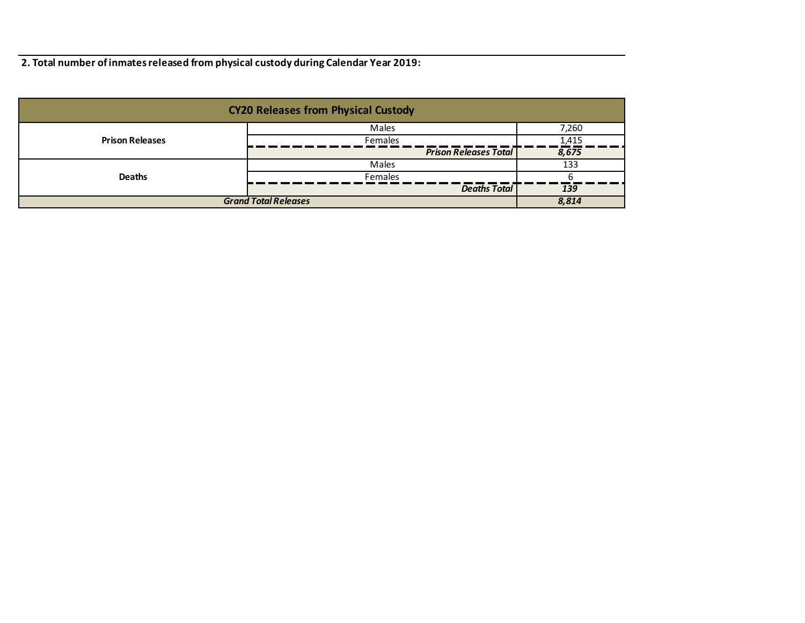**2. Total number of inmates released from physical custody during Calendar Year 2019:**

| <b>CY20 Releases from Physical Custody</b> |                              |       |  |
|--------------------------------------------|------------------------------|-------|--|
|                                            | Males                        | 7,260 |  |
| <b>Prison Releases</b>                     | <b>Females</b>               | 1,415 |  |
|                                            | <b>Prison Releases Total</b> | 8,675 |  |
|                                            | Males                        | 133   |  |
| <b>Deaths</b>                              | <b>Females</b>               |       |  |
|                                            | <b>Deaths Total</b>          | 139   |  |
| <b>Grand Total Releases</b>                |                              | 8,814 |  |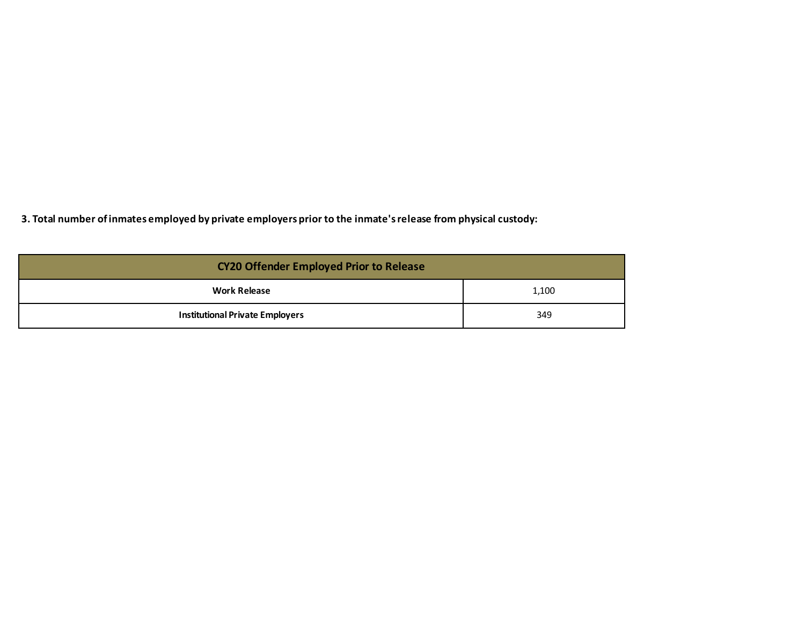**3. Total number of inmates employed by private employers prior to the inmate's release from physical custody:**

| <b>CY20 Offender Employed Prior to Release</b> |       |  |
|------------------------------------------------|-------|--|
| <b>Work Release</b>                            | 1,100 |  |
| <b>Institutional Private Employers</b>         | 349   |  |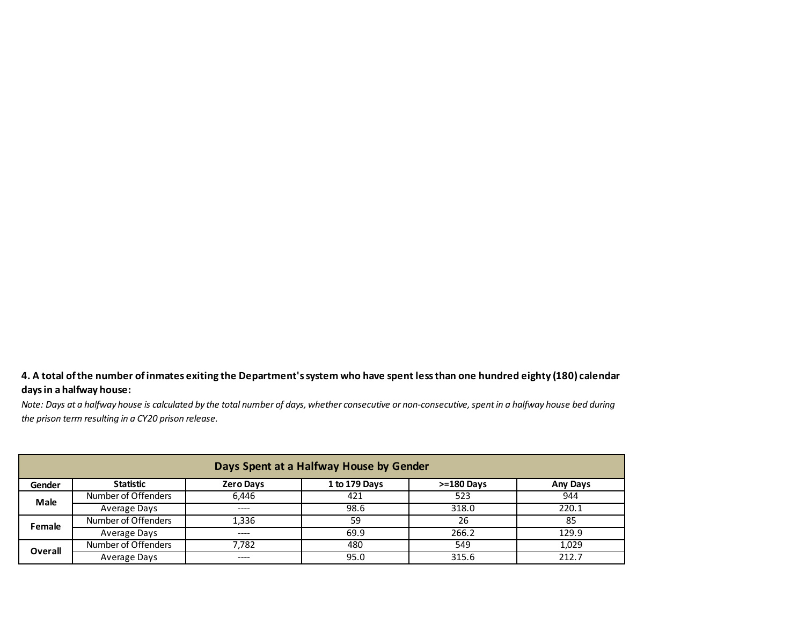## **4. A total of the number of inmates exiting the Department's system who have spent less than one hundred eighty (180) calendar days in a halfway house:**

*Note: Days at a halfway house is calculated by the total number of days, whether consecutive or non-consecutive, spent in a halfway house bed during the prison term resulting in a CY20 prison release.*

| Days Spent at a Halfway House by Gender |                     |                  |               |                |                 |
|-----------------------------------------|---------------------|------------------|---------------|----------------|-----------------|
| Gender                                  | Statistic           | <b>Zero Days</b> | 1 to 179 Days | $> = 180$ Days | <b>Any Days</b> |
| Male                                    | Number of Offenders | 6.446            | 421           | 523            | 944             |
|                                         | Average Days        | $--- -$          | 98.6          | 318.0          | 220.1           |
| Female                                  | Number of Offenders | 1.336            | 59            | 26             | 85              |
|                                         | Average Days        | $--- -$          | 69.9          | 266.2          | 129.9           |
| Overall                                 | Number of Offenders | 7.782            | 480           | 549            | 1,029           |
|                                         | Average Days        | $---$            | 95.0          | 315.6          | 212.7           |